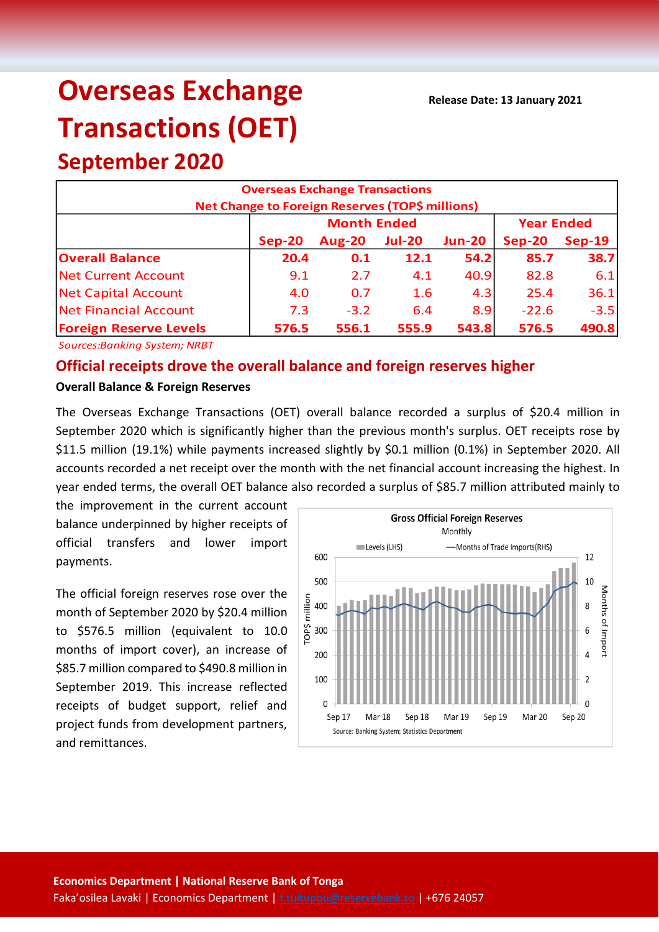# **Overseas Exchange Transactions (OET)**

# **September 2020 Overseas Exchange Transactions Net Change to Foreign Reserves (TOP\$ millions) Sep-20 Aug-20 Jul-20 Jun-20 Sep-20 Sep-19 Overall Balance 20.4 0.1 12.1 54.2 85.7 38.7** Net Current Account 9.1 2.7 4.1 40.9 82.8 6.1 Net Capital Account 4.0 0.7 1.6 4.3 25.4 36.1 Net Financial Account 7.3 -3.2 6.4 8.9 -22.6 -3.5 **Foreign Reserve Levels 576.5 556.1 555.9 543.8 576.5 490.8 Month Ended Year Ended**

*Sources:Banking System; NRBT*

# **Official receipts drove the overall balance and foreign reserves higher**

#### **Overall Balance & Foreign Reserves**

The Overseas Exchange Transactions (OET) overall balance recorded a surplus of \$20.4 million in September 2020 which is significantly higher than the previous month's surplus. OET receipts rose by \$11.5 million (19.1%) while payments increased slightly by \$0.1 million (0.1%) in September 2020. All accounts recorded a net receipt over the month with the net financial account increasing the highest. In year ended terms, the overall OET balance also recorded a surplus of \$85.7 million attributed mainly to

the improvement in the current account balance underpinned by higher receipts of official transfers and lower import payments.

The official foreign reserves rose over the month of September 2020 by \$20.4 million to \$576.5 million (equivalent to 10.0 months of import cover), an increase of \$85.7 million compared to \$490.8 million in September 2019. This increase reflected receipts of budget support, relief and project funds from development partners, and remittances.

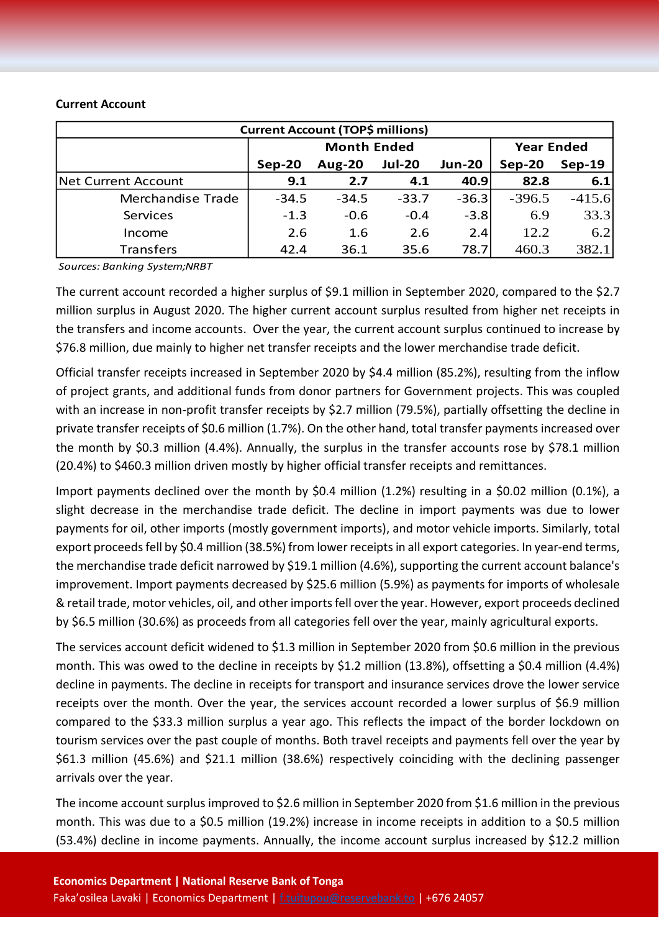#### **Current Account**

| <b>Current Account (TOP\$ millions)</b> |         |                    |                   |               |          |          |  |  |  |
|-----------------------------------------|---------|--------------------|-------------------|---------------|----------|----------|--|--|--|
|                                         |         | <b>Month Ended</b> | <b>Year Ended</b> |               |          |          |  |  |  |
|                                         | Sep-20  | <b>Aug-20</b>      | <b>Jul-20</b>     | <b>Jun-20</b> | $Sep-20$ | $Sep-19$ |  |  |  |
| Net Current Account                     | 9.1     | 2.7                | 4.1               | 40.9          | 82.8     | 6.1      |  |  |  |
| <b>Merchandise Trade</b>                | $-34.5$ | $-34.5$            | $-33.7$           | $-36.3$       | $-396.5$ | $-415.6$ |  |  |  |
| Services                                | $-1.3$  | $-0.6$             | $-0.4$            | $-3.8$        | 6.9      | 33.3     |  |  |  |
| Income                                  | 2.6     | 1.6                | 2.6               | 2.4           | 12.2     | 6.2      |  |  |  |
| <b>Transfers</b>                        | 42.4    | 36.1               | 35.6              | 78.7          | 460.3    | 382.1    |  |  |  |

*Sources: Banking System;NRBT*

The current account recorded a higher surplus of \$9.1 million in September 2020, compared to the \$2.7 million surplus in August 2020. The higher current account surplus resulted from higher net receipts in the transfers and income accounts. Over the year, the current account surplus continued to increase by \$76.8 million, due mainly to higher net transfer receipts and the lower merchandise trade deficit.

Official transfer receipts increased in September 2020 by \$4.4 million (85.2%), resulting from the inflow of project grants, and additional funds from donor partners for Government projects. This was coupled with an increase in non-profit transfer receipts by \$2.7 million (79.5%), partially offsetting the decline in private transfer receipts of \$0.6 million (1.7%). On the other hand, total transfer payments increased over the month by \$0.3 million (4.4%). Annually, the surplus in the transfer accounts rose by \$78.1 million (20.4%) to \$460.3 million driven mostly by higher official transfer receipts and remittances.

Import payments declined over the month by \$0.4 million (1.2%) resulting in a \$0.02 million (0.1%), a slight decrease in the merchandise trade deficit. The decline in import payments was due to lower payments for oil, other imports (mostly government imports), and motor vehicle imports. Similarly, total export proceeds fell by \$0.4 million (38.5%) from lower receipts in all export categories. In year-end terms, the merchandise trade deficit narrowed by \$19.1 million (4.6%), supporting the current account balance's improvement. Import payments decreased by \$25.6 million (5.9%) as payments for imports of wholesale & retail trade, motor vehicles, oil, and other importsfell over the year. However, export proceeds declined by \$6.5 million (30.6%) as proceeds from all categories fell over the year, mainly agricultural exports.

The services account deficit widened to \$1.3 million in September 2020 from \$0.6 million in the previous month. This was owed to the decline in receipts by \$1.2 million (13.8%), offsetting a \$0.4 million (4.4%) decline in payments. The decline in receipts for transport and insurance services drove the lower service receipts over the month. Over the year, the services account recorded a lower surplus of \$6.9 million compared to the \$33.3 million surplus a year ago. This reflects the impact of the border lockdown on tourism services over the past couple of months. Both travel receipts and payments fell over the year by \$61.3 million (45.6%) and \$21.1 million (38.6%) respectively coinciding with the declining passenger arrivals over the year.

The income account surplus improved to \$2.6 million in September 2020 from \$1.6 million in the previous month. This was due to a \$0.5 million (19.2%) increase in income receipts in addition to a \$0.5 million (53.4%) decline in income payments. Annually, the income account surplus increased by \$12.2 million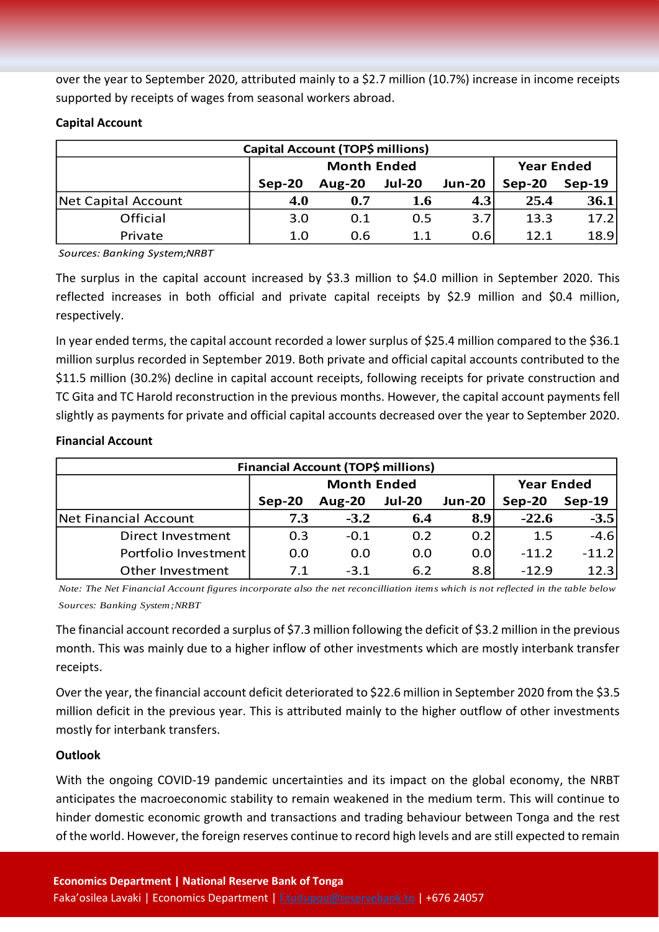over the year to September 2020, attributed mainly to a \$2.7 million (10.7%) increase in income receipts supported by receipts of wages from seasonal workers abroad.

#### **Capital Account**

| <b>Capital Account (TOP\$ millions)</b> |        |                    |                   |                  |          |          |  |  |
|-----------------------------------------|--------|--------------------|-------------------|------------------|----------|----------|--|--|
|                                         |        | <b>Month Ended</b> | <b>Year Ended</b> |                  |          |          |  |  |
|                                         | Sep-20 | <b>Aug-20</b>      | <b>Jul-20</b>     | <b>Jun-20</b>    | $Sep-20$ | $Sep-19$ |  |  |
| Net Capital Account                     | 4.0    | 0.7                | 1.6               | 4.3 <sub>l</sub> | 25.4     | 36.1     |  |  |
| Official                                | 3.0    | 0.1                | 0.5               | 3.7              | 13.3     | 17.2     |  |  |
| Private                                 | 1.0    | 0.6                | 1.1               | 0.6              | 12.1     | 18.9     |  |  |

*Sources: Banking System;NRBT*

The surplus in the capital account increased by \$3.3 million to \$4.0 million in September 2020. This reflected increases in both official and private capital receipts by \$2.9 million and \$0.4 million, respectively.

In year ended terms, the capital account recorded a lower surplus of \$25.4 million compared to the \$36.1 million surplus recorded in September 2019. Both private and official capital accounts contributed to the \$11.5 million (30.2%) decline in capital account receipts, following receipts for private construction and TC Gita and TC Harold reconstruction in the previous months. However, the capital account payments fell slightly as payments for private and official capital accounts decreased over the year to September 2020.

### **Financial Account**

| Financial Account (TOP\$ millions) |        |                    |                   |               |          |          |  |  |
|------------------------------------|--------|--------------------|-------------------|---------------|----------|----------|--|--|
|                                    |        | <b>Month Ended</b> | <b>Year Ended</b> |               |          |          |  |  |
|                                    | Sep-20 | <b>Aug-20</b>      | <b>Jul-20</b>     | <b>Jun-20</b> | $Sep-20$ | $Sep-19$ |  |  |
| Net Financial Account              | 7.3    | $-3.2$             | 6.4               | 8.9           | $-22.6$  | $-3.5$   |  |  |
| Direct Investment                  | 0.3    | $-0.1$             | 0.2               | 0.2           | 1.5      | $-4.6$   |  |  |
| Portfolio Investment               | 0.0    | 0.0                | 0.0               | 0.0           | $-11.2$  | $-11.2$  |  |  |
| Other Investment                   | 71     | $-3.1$             | 6.2               | 8.8           | $-12.9$  | 12.3     |  |  |

*Note: The Net Financial Account figures incorporate also the net reconcilliation items which is not reflected in the table below Sources: Banking System;NRBT*

The financial account recorded a surplus of \$7.3 million following the deficit of \$3.2 million in the previous month. This was mainly due to a higher inflow of other investments which are mostly interbank transfer receipts.

Over the year, the financial account deficit deteriorated to \$22.6 million in September 2020 from the \$3.5 million deficit in the previous year. This is attributed mainly to the higher outflow of other investments mostly for interbank transfers.

# **Outlook**

With the ongoing COVID-19 pandemic uncertainties and its impact on the global economy, the NRBT anticipates the macroeconomic stability to remain weakened in the medium term. This will continue to hinder domestic economic growth and transactions and trading behaviour between Tonga and the rest of the world. However, the foreign reserves continue to record high levels and are still expected to remain